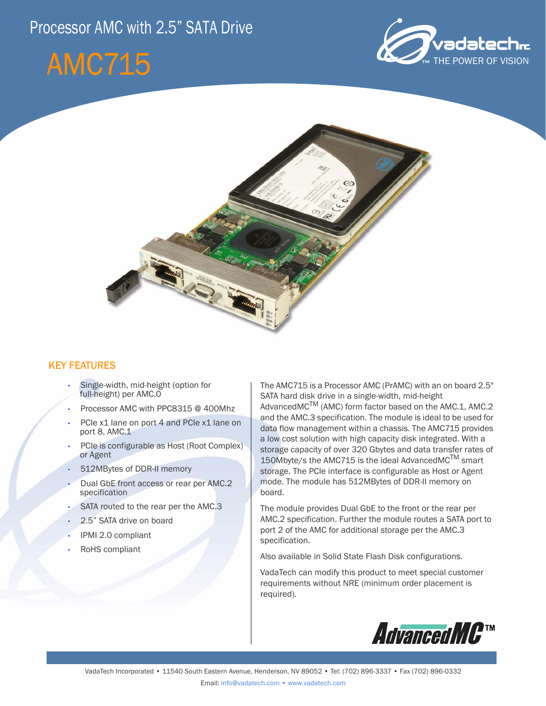# Processor AMC with 2.5" SATA Drive







# KEY FEATURES

- Single-width, mid-height (option for full-height) per AMC.0
- Processor AMC with PPC8315 @ 400Mhz
- PCIe x1 lane on port 4 and PCIe x1 lane on port 8, AMC.1
- PCIe is configurable as Host (Root Complex) or Agent
- 512MBytes of DDR-II memory
- Dual GbE front access or rear per AMC.2 specification
- SATA routed to the rear per the AMC.3
- 2.5" SATA drive on board
- IPMI 2.0 compliant
- RoHS compliant

The AMC715 is a Processor AMC (PrAMC) with an on board 2.5" SATA hard disk drive in a single-width, mid-height AdvancedMCTM (AMC) form factor based on the AMC.1, AMC.2 and the AMC.3 specification. The module is ideal to be used for data flow management within a chassis. The AMC715 provides a low cost solution with high capacity disk integrated. With a storage capacity of over 320 Gbytes and data transfer rates of 150Mbyte/s the AMC715 is the ideal AdvancedMC<sup>TM</sup> smart storage. The PCIe interface is configurable as Host or Agent mode. The module has 512MBytes of DDR-II memory on board.

The module provides Dual GbE to the front or the rear per AMC.2 specification. Further the module routes a SATA port to port 2 of the AMC for additional storage per the AMC.3 specification.

Also available in Solid State Flash Disk configurations.

VadaTech can modify this product to meet special customer requirements without NRE (minimum order placement is required).

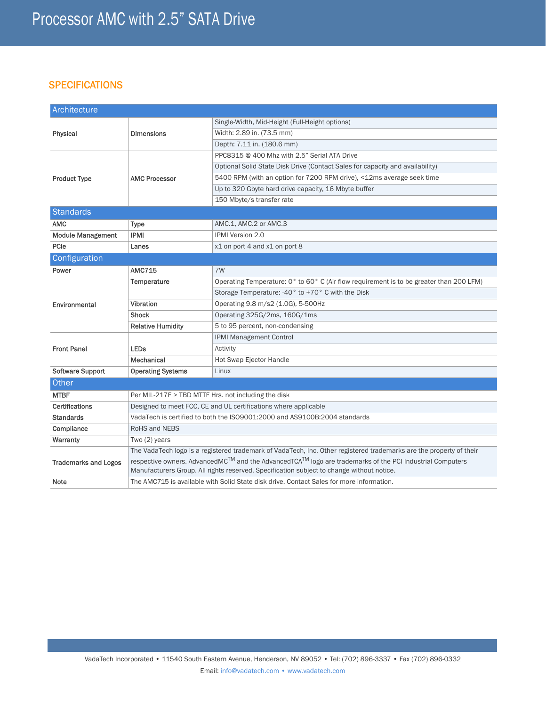# **SPECIFICATIONS**

| Architecture                |                                                                                                                     |                                                                                         |
|-----------------------------|---------------------------------------------------------------------------------------------------------------------|-----------------------------------------------------------------------------------------|
| Physical                    | <b>Dimensions</b>                                                                                                   | Single-Width, Mid-Height (Full-Height options)                                          |
|                             |                                                                                                                     | Width: 2.89 in. (73.5 mm)                                                               |
|                             |                                                                                                                     | Depth: 7.11 in. (180.6 mm)                                                              |
| <b>Product Type</b>         | <b>AMC Processor</b>                                                                                                | PPC8315 @ 400 Mhz with 2.5" Serial ATA Drive                                            |
|                             |                                                                                                                     | Optional Solid State Disk Drive (Contact Sales for capacity and availability)           |
|                             |                                                                                                                     | 5400 RPM (with an option for 7200 RPM drive), <12ms average seek time                   |
|                             |                                                                                                                     | Up to 320 Gbyte hard drive capacity, 16 Mbyte buffer                                    |
|                             |                                                                                                                     | 150 Mbyte/s transfer rate                                                               |
| Standards                   |                                                                                                                     |                                                                                         |
| <b>AMC</b>                  | Type                                                                                                                | AMC.1, AMC.2 or AMC.3                                                                   |
| <b>Module Management</b>    | <b>IPMI</b>                                                                                                         | IPMI Version 2.0                                                                        |
| PCle                        | Lanes                                                                                                               | x1 on port 4 and x1 on port 8                                                           |
| Configuration               |                                                                                                                     |                                                                                         |
| Power                       | <b>AMC715</b>                                                                                                       | 7W                                                                                      |
| Environmental               | Temperature                                                                                                         | Operating Temperature: 0° to 60° C (Air flow requirement is to be greater than 200 LFM) |
|                             |                                                                                                                     | Storage Temperature: -40° to +70° C with the Disk                                       |
|                             | Vibration                                                                                                           | Operating 9.8 m/s2 (1.0G), 5-500Hz                                                      |
|                             | <b>Shock</b>                                                                                                        | Operating 325G/2ms, 160G/1ms                                                            |
|                             | <b>Relative Humidity</b>                                                                                            | 5 to 95 percent, non-condensing                                                         |
| <b>Front Panel</b>          |                                                                                                                     | <b>IPMI Management Control</b>                                                          |
|                             | <b>LEDs</b>                                                                                                         | Activity                                                                                |
|                             | Mechanical                                                                                                          | Hot Swap Ejector Handle                                                                 |
| Software Support            | <b>Operating Systems</b>                                                                                            | Linux                                                                                   |
| Other                       |                                                                                                                     |                                                                                         |
| <b>MTBF</b>                 | Per MIL-217F > TBD MTTF Hrs. not including the disk                                                                 |                                                                                         |
| <b>Certifications</b>       | Designed to meet FCC, CE and UL certifications where applicable                                                     |                                                                                         |
| <b>Standards</b>            | VadaTech is certified to both the ISO9001:2000 and AS9100B:2004 standards                                           |                                                                                         |
| Compliance                  | RoHS and NEBS                                                                                                       |                                                                                         |
| Warranty                    | Two (2) years                                                                                                       |                                                                                         |
| <b>Trademarks and Logos</b> | The VadaTech logo is a registered trademark of VadaTech, Inc. Other registered trademarks are the property of their |                                                                                         |
|                             | respective owners. AdvancedMC™ and the AdvancedTCA™ logo are trademarks of the PCI Industrial Computers             |                                                                                         |
|                             | Manufacturers Group. All rights reserved. Specification subject to change without notice.                           |                                                                                         |
| Note                        | The AMC715 is available with Solid State disk drive. Contact Sales for more information.                            |                                                                                         |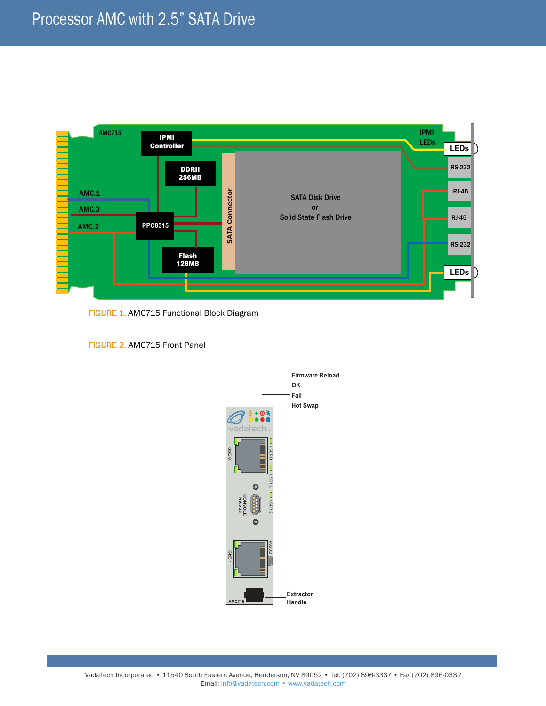

FIGURE 1. AMC715 Functional Block Diagram

FIGURE 2. AMC715 Front Panel